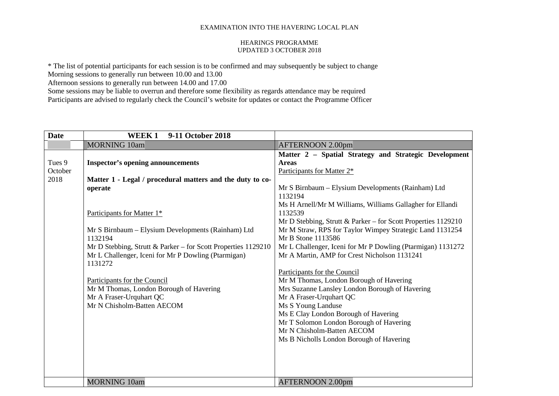#### HEARINGS PROGRAMME UPDATED 3 OCTOBER 2018

\* The list of potential participants for each session is to be confirmed and may subsequently be subject to change

Morning sessions to generally run between 10.00 and 13.00

Afternoon sessions to generally run between 14.00 and 17.00

Some sessions may be liable to overrun and therefore some flexibility as regards attendance may be required Participants are advised to regularly check the Council's website for updates or contact the Programme Officer

| <b>Date</b> | 9-11 October 2018<br><b>WEEK1</b>                               |                                                               |
|-------------|-----------------------------------------------------------------|---------------------------------------------------------------|
|             | <b>MORNING 10am</b>                                             | AFTERNOON 2.00pm                                              |
|             |                                                                 | Matter 2 - Spatial Strategy and Strategic Development         |
| Tues 9      | <b>Inspector's opening announcements</b>                        | <b>Areas</b>                                                  |
| October     |                                                                 | Participants for Matter 2*                                    |
| 2018        | Matter 1 - Legal / procedural matters and the duty to co-       |                                                               |
|             | operate                                                         | Mr S Birnbaum – Elysium Developments (Rainham) Ltd            |
|             |                                                                 | 1132194                                                       |
|             |                                                                 | Ms H Arnell/Mr M Williams, Williams Gallagher for Ellandi     |
|             | Participants for Matter 1*                                      | 1132539                                                       |
|             |                                                                 | Mr D Stebbing, Strutt & Parker - for Scott Properties 1129210 |
|             | Mr S Birnbaum - Elysium Developments (Rainham) Ltd              | Mr M Straw, RPS for Taylor Wimpey Strategic Land 1131254      |
|             | 1132194                                                         | Mr B Stone 1113586                                            |
|             | Mr D Stebbing, Strutt & Parker – for Scott Properties $1129210$ | Mr L Challenger, Iceni for Mr P Dowling (Ptarmigan) 1131272   |
|             | Mr L Challenger, Iceni for Mr P Dowling (Ptarmigan)<br>1131272  | Mr A Martin, AMP for Crest Nicholson 1131241                  |
|             |                                                                 | Participants for the Council                                  |
|             | Participants for the Council                                    | Mr M Thomas, London Borough of Havering                       |
|             | Mr M Thomas, London Borough of Havering                         | Mrs Suzanne Lansley London Borough of Havering                |
|             | Mr A Fraser-Urquhart QC                                         | Mr A Fraser-Urquhart QC                                       |
|             | Mr N Chisholm-Batten AECOM                                      | Ms S Young Landuse                                            |
|             |                                                                 | Ms E Clay London Borough of Havering                          |
|             |                                                                 | Mr T Solomon London Borough of Havering                       |
|             |                                                                 | Mr N Chisholm-Batten AECOM                                    |
|             |                                                                 | Ms B Nicholls London Borough of Havering                      |
|             |                                                                 |                                                               |
|             |                                                                 |                                                               |
|             |                                                                 |                                                               |
|             | <b>MORNING 10am</b>                                             | <b>AFTERNOON 2.00pm</b>                                       |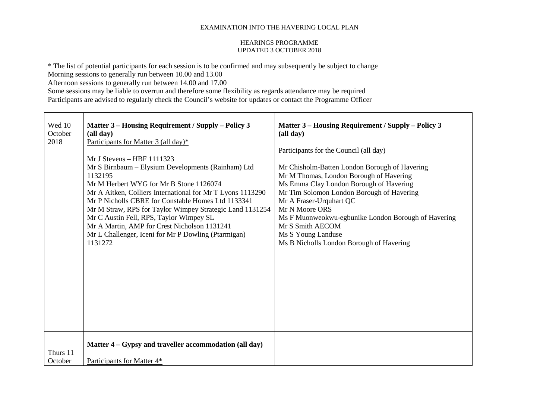### HEARINGS PROGRAMME UPDATED 3 OCTOBER 2018

\* The list of potential participants for each session is to be confirmed and may subsequently be subject to change

Morning sessions to generally run between 10.00 and 13.00

Afternoon sessions to generally run between 14.00 and 17.00

| Wed 10<br>October<br>2018 | Matter 3 – Housing Requirement / Supply – Policy 3<br>(all day)<br>Participants for Matter 3 (all day)*<br>$MrJ$ Stevens – HBF 1111323<br>Mr S Birnbaum - Elysium Developments (Rainham) Ltd<br>1132195<br>Mr M Herbert WYG for Mr B Stone 1126074<br>Mr A Aitken, Colliers International for Mr T Lyons 1113290 | Matter 3 – Housing Requirement / Supply – Policy 3<br>(all day)<br>Participants for the Council (all day)<br>Mr Chisholm-Batten London Borough of Havering<br>Mr M Thomas, London Borough of Havering<br>Ms Emma Clay London Borough of Havering<br>Mr Tim Solomon London Borough of Havering |
|---------------------------|------------------------------------------------------------------------------------------------------------------------------------------------------------------------------------------------------------------------------------------------------------------------------------------------------------------|-----------------------------------------------------------------------------------------------------------------------------------------------------------------------------------------------------------------------------------------------------------------------------------------------|
|                           | Mr P Nicholls CBRE for Constable Homes Ltd 1133341<br>Mr M Straw, RPS for Taylor Wimpey Strategic Land 1131254<br>Mr C Austin Fell, RPS, Taylor Wimpey SL<br>Mr A Martin, AMP for Crest Nicholson 1131241<br>Mr L Challenger, Iceni for Mr P Dowling (Ptarmigan)                                                 | Mr A Fraser-Urquhart QC<br>Mr N Moore ORS<br>Ms F Muonweokwu-egbunike London Borough of Havering<br>Mr S Smith AECOM<br>Ms S Young Landuse                                                                                                                                                    |
|                           | 1131272                                                                                                                                                                                                                                                                                                          | Ms B Nicholls London Borough of Havering                                                                                                                                                                                                                                                      |
|                           |                                                                                                                                                                                                                                                                                                                  |                                                                                                                                                                                                                                                                                               |
| Thurs 11                  | Matter 4 – Gypsy and traveller accommodation (all day)                                                                                                                                                                                                                                                           |                                                                                                                                                                                                                                                                                               |
| October                   | Participants for Matter 4*                                                                                                                                                                                                                                                                                       |                                                                                                                                                                                                                                                                                               |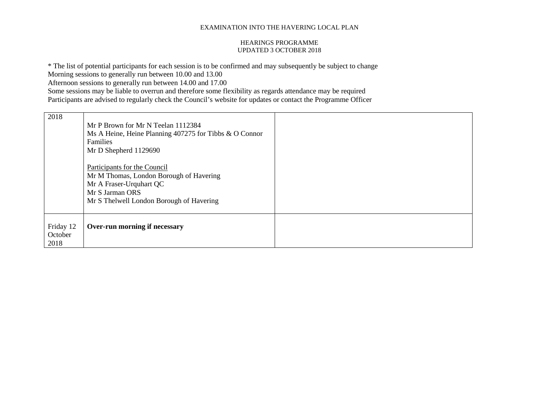### HEARINGS PROGRAMME UPDATED 3 OCTOBER 2018

\* The list of potential participants for each session is to be confirmed and may subsequently be subject to change

Morning sessions to generally run between 10.00 and 13.00

Afternoon sessions to generally run between 14.00 and 17.00

| 2018                         | Mr P Brown for Mr N Teelan 1112384<br>Ms A Heine, Heine Planning 407275 for Tibbs & O Connor<br>Families<br>Mr D Shepherd 1129690                                 |  |
|------------------------------|-------------------------------------------------------------------------------------------------------------------------------------------------------------------|--|
|                              | Participants for the Council<br>Mr M Thomas, London Borough of Havering<br>Mr A Fraser-Urquhart QC<br>Mr S Jarman ORS<br>Mr S Thelwell London Borough of Havering |  |
| Friday 12<br>October<br>2018 | Over-run morning if necessary                                                                                                                                     |  |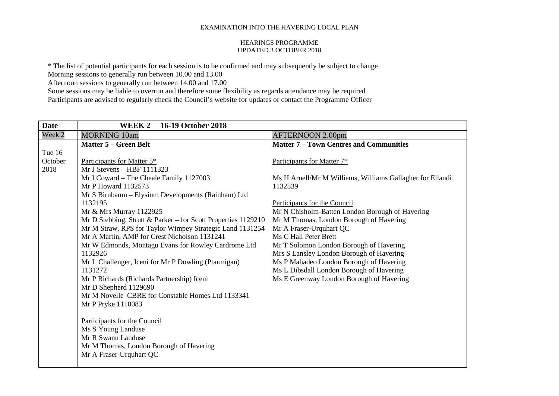## HEARINGS PROGRAMME UPDATED 3 OCTOBER 2018

\* The list of potential participants for each session is to be confirmed and may subsequently be subject to change

Morning sessions to generally run between 10.00 and 13.00

Afternoon sessions to generally run between 14.00 and 17.00

| <b>Date</b> | 16-19 October 2018<br>WEEK 2                                  |                                                           |
|-------------|---------------------------------------------------------------|-----------------------------------------------------------|
| Week 2      | <b>MORNING 10am</b>                                           | <b>AFTERNOON 2.00pm</b>                                   |
|             | <b>Matter 5 – Green Belt</b>                                  | <b>Matter 7 - Town Centres and Communities</b>            |
| Tue 16      |                                                               |                                                           |
| October     | Participants for Matter 5*                                    | Participants for Matter 7*                                |
| 2018        | Mr J Stevens - HBF 1111323                                    |                                                           |
|             | Mr I Coward - The Cheale Family 1127003                       | Ms H Arnell/Mr M Williams, Williams Gallagher for Ellandi |
|             | Mr P Howard 1132573                                           | 1132539                                                   |
|             | Mr S Birnbaum - Elysium Developments (Rainham) Ltd            |                                                           |
|             | 1132195                                                       | Participants for the Council                              |
|             | Mr & Mrs Murray 1122925                                       | Mr N Chisholm-Batten London Borough of Havering           |
|             | Mr D Stebbing, Strutt & Parker - for Scott Properties 1129210 | Mr M Thomas, London Borough of Havering                   |
|             | Mr M Straw, RPS for Taylor Wimpey Strategic Land 1131254      | Mr A Fraser-Urquhart QC                                   |
|             | Mr A Martin, AMP for Crest Nicholson 1131241                  | Ms C Hall Peter Brett                                     |
|             | Mr W Edmonds, Montagu Evans for Rowley Cardrome Ltd           | Mr T Solomon London Borough of Havering                   |
|             | 1132926                                                       | Mrs S Lansley London Borough of Havering                  |
|             | Mr L Challenger, Iceni for Mr P Dowling (Ptarmigan)           | Ms P Mahadeo London Borough of Havering                   |
|             | 1131272                                                       | Ms L Dibsdall London Borough of Havering                  |
|             | Mr P Richards (Richards Partnership) Iceni                    | Ms E Greenway London Borough of Havering                  |
|             | Mr D Shepherd 1129690                                         |                                                           |
|             | Mr M Novelle CBRE for Constable Homes Ltd 1133341             |                                                           |
|             | Mr P Pryke 1110083                                            |                                                           |
|             |                                                               |                                                           |
|             | Participants for the Council                                  |                                                           |
|             | Ms S Young Landuse                                            |                                                           |
|             | Mr R Swann Landuse                                            |                                                           |
|             | Mr M Thomas, London Borough of Havering                       |                                                           |
|             | Mr A Fraser-Urquhart QC                                       |                                                           |
|             |                                                               |                                                           |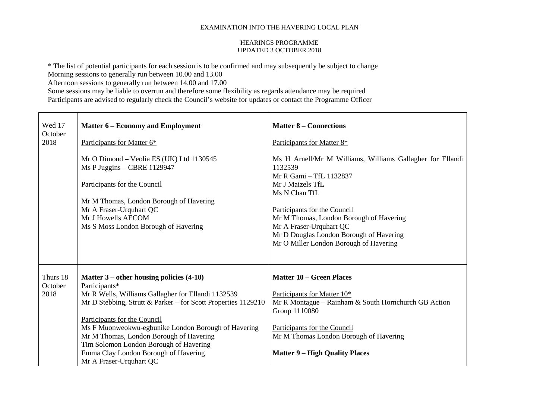#### HEARINGS PROGRAMME UPDATED 3 OCTOBER 2018

\* The list of potential participants for each session is to be confirmed and may subsequently be subject to change

Morning sessions to generally run between 10.00 and 13.00

Afternoon sessions to generally run between 14.00 and 17.00

| Wed 17   | <b>Matter 6 – Economy and Employment</b>                      | <b>Matter 8 – Connections</b>                             |
|----------|---------------------------------------------------------------|-----------------------------------------------------------|
| October  |                                                               |                                                           |
| 2018     | Participants for Matter 6*                                    | Participants for Matter 8*                                |
|          |                                                               |                                                           |
|          | Mr O Dimond - Veolia ES (UK) Ltd 1130545                      | Ms H Arnell/Mr M Williams, Williams Gallagher for Ellandi |
|          | Ms P Juggins - CBRE 1129947                                   | 1132539                                                   |
|          |                                                               | Mr R Gami - TfL 1132837                                   |
|          | Participants for the Council                                  | Mr J Maizels TfL                                          |
|          |                                                               | Ms N Chan TfL                                             |
|          | Mr M Thomas, London Borough of Havering                       |                                                           |
|          | Mr A Fraser-Urquhart QC                                       | Participants for the Council                              |
|          | Mr J Howells AECOM                                            | Mr M Thomas, London Borough of Havering                   |
|          | Ms S Moss London Borough of Havering                          | Mr A Fraser-Urquhart QC                                   |
|          |                                                               | Mr D Douglas London Borough of Havering                   |
|          |                                                               | Mr O Miller London Borough of Havering                    |
|          |                                                               |                                                           |
|          |                                                               |                                                           |
|          |                                                               |                                                           |
| Thurs 18 | Matter $3$ – other housing policies $(4-10)$                  | <b>Matter 10 - Green Places</b>                           |
| October  | Participants*                                                 |                                                           |
| 2018     | Mr R Wells, Williams Gallagher for Ellandi 1132539            | Participants for Matter 10*                               |
|          | Mr D Stebbing, Strutt & Parker - for Scott Properties 1129210 | Mr R Montague – Rainham & South Hornchurch GB Action      |
|          |                                                               | Group 1110080                                             |
|          | Participants for the Council                                  |                                                           |
|          | Ms F Muonweokwu-egbunike London Borough of Havering           | Participants for the Council                              |
|          | Mr M Thomas, London Borough of Havering                       | Mr M Thomas London Borough of Havering                    |
|          | Tim Solomon London Borough of Havering                        |                                                           |
|          | Emma Clay London Borough of Havering                          | <b>Matter 9 – High Quality Places</b>                     |
|          | Mr A Fraser-Urquhart QC                                       |                                                           |